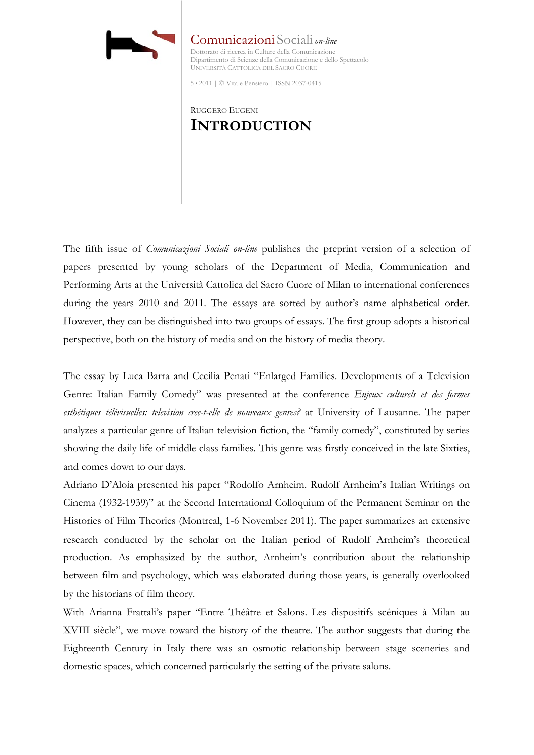

Comunicazioni Sociali *on-line* Dottorato di ricerca in Culture della Comunicazione Dipartimento di Scienze della Comunicazione e dello Spettacolo UNIVERSITÀ CATTOLICA DEL SACRO CUORE

5 • 2011 | © Vita e Pensiero | ISSN 2037-0415

## RUGGERO EUGENI **INTRODUCTION**

The fifth issue of *Comunicazioni Sociali on-line* publishes the preprint version of a selection of papers presented by young scholars of the Department of Media, Communication and Performing Arts at the Università Cattolica del Sacro Cuore of Milan to international conferences during the years 2010 and 2011. The essays are sorted by author's name alphabetical order. However, they can be distinguished into two groups of essays. The first group adopts a historical perspective, both on the history of media and on the history of media theory.

The essay by Luca Barra and Cecilia Penati "Enlarged Families. Developments of a Television Genre: Italian Family Comedy" was presented at the conference *Enjeux culturels et des formes esthétiques télévisuelles: television cree-t-elle de nouveaux genres?* at University of Lausanne. The paper analyzes a particular genre of Italian television fiction, the "family comedy", constituted by series showing the daily life of middle class families. This genre was firstly conceived in the late Sixties, and comes down to our days.

Adriano D'Aloia presented his paper "Rodolfo Arnheim. Rudolf Arnheim's Italian Writings on Cinema (1932-1939)" at the Second International Colloquium of the Permanent Seminar on the Histories of Film Theories (Montreal, 1-6 November 2011). The paper summarizes an extensive research conducted by the scholar on the Italian period of Rudolf Arnheim's theoretical production. As emphasized by the author, Arnheim's contribution about the relationship between film and psychology, which was elaborated during those years, is generally overlooked by the historians of film theory.

With Arianna Frattali's paper "Entre Théâtre et Salons. Les dispositifs scéniques à Milan au XVIII siècle", we move toward the history of the theatre. The author suggests that during the Eighteenth Century in Italy there was an osmotic relationship between stage sceneries and domestic spaces, which concerned particularly the setting of the private salons.